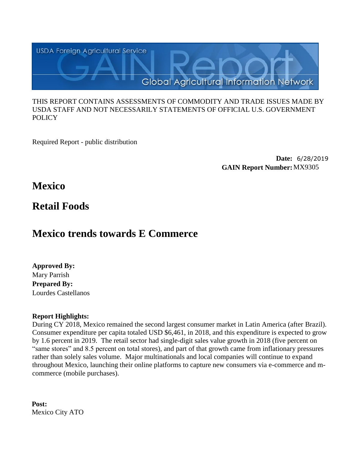

### THIS REPORT CONTAINS ASSESSMENTS OF COMMODITY AND TRADE ISSUES MADE BY USDA STAFF AND NOT NECESSARILY STATEMENTS OF OFFICIAL U.S. GOVERNMENT **POLICY**

Required Report - public distribution

**Date:** 6/28/2019 **GAIN Report Number:**MX9305

# **Mexico**

# **Retail Foods**

# **Mexico trends towards E Commerce**

**Approved By:** Mary Parrish **Prepared By:** Lourdes Castellanos

# **Report Highlights:**

During CY 2018, Mexico remained the second largest consumer market in Latin America (after Brazil). Consumer expenditure per capita totaled USD \$6,461, in 2018, and this expenditure is expected to grow by 1.6 percent in 2019. The retail sector had single-digit sales value growth in 2018 (five percent on "same stores" and 8.5 percent on total stores), and part of that growth came from inflationary pressures rather than solely sales volume. Major multinationals and local companies will continue to expand throughout Mexico, launching their online platforms to capture new consumers via e-commerce and mcommerce (mobile purchases).

**Post:** Mexico City ATO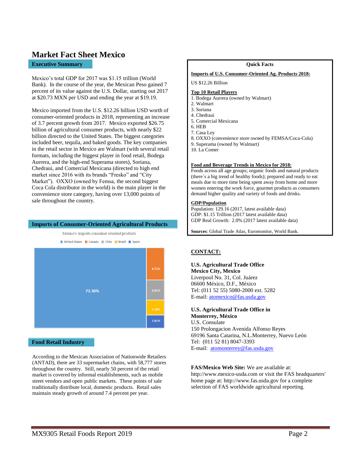# **Market Fact Sheet Mexico**

### **Executive Summary**

Mexico's total GDP for 2017 was \$1.15 trillion (World Bank). In the course of the year, the Mexican Peso gained 7 percent of its value against the U.S. Dollar, starting out 2017 at \$20.73 MXN per USD and ending the year at \$19.19.

Mexico imported from the U.S. \$12.26 billion USD worth of consumer-oriented products in 2018, representing an increase of 3.7 percent growth from 2017. Mexico exported \$26.75 billion of agricultural consumer products, with nearly \$22 billion directed to the United States. The biggest categories included beer, tequila, and baked goods. The key companies in the retail sector in Mexico are Walmart (with several retail formats, including the biggest player in food retail, Bodega Aurrera, and the high-end Superama stores), Soriana, Chedraui, and Comercial Mexicana (directed to high end market since 2016 with its brands "Fresko" and "City Market"). OXXO (owned by Femsa, the second biggest Coca Cola distributor in the world) is the main player in the convenience store category, having over 13,000 points of sale throughout the country.

### **Imports of Consumer-Oriented Agricultural Products**



**Food Retail Industry**

According to the Mexican Association of Nationwide Retailers (ANTAD), there are 33 supermarket chains, with 58,777 stores throughout the country. Still, nearly 50 percent of the retail market is covered by informal establishments, such as mobile street vendors and open public markets. These points of sale traditionally distribute local, domestic products. Retail sales maintain steady growth of around 7.4 percent per year.

#### **Quick Facts**

#### **Imports of U.S. Consumer-Oriented Ag. Products 2018:**

#### US \$12.26 Billion

#### **Top 10 Retail Players**

- 1. Bodega Aurrera (owned by Walmart)
- 2. Walmart
- 3. Soriana
- 4. Chedraui 5. Comercial Mexicana
- 6. HEB
- 7. Casa Ley
	-
- 8. OXXO (convenience store owned by FEMSA/Coca-Cola)
- 9. Superama (owned by Walmart)
- 10. La Comer

#### **Food and Beverage Trends in Mexico for 2018:**

Foods across all age groups; organic foods and natural products (there´s a big trend of healthy foods); prepared and ready to eat meals due to more time being spent away from home and more women entering the work force, gourmet products as consumers demand higher quality and variety of foods and drinks.

### **GDP/Population**

Population: 129.16 (2017, latest available data) GDP: \$1.15 Trillion (2017 latest available data) GDP Real Growth: 2.0% (2017 latest available data)

**Sources**: Global Trade Atlas, Euromonitor, World Bank.

### **CONTACT:**

### **U.S. Agricultural Trade Office**

**Mexico City, Mexico**  Liverpool No. 31, Col. Juárez 06600 México, D.F., México Tel: (011 52 55) 5080-2000 ext. 5282 E-mail: [atomexico@fas.usda.gov](mailto:atomexico@fas.usda.gov)

# **U.S. Agricultural Trade Office in**

**Monterrey, México**  U.S. Consulate 150 Prolongacion Avenida Alfonso Reyes 69196 Santa Catarina, N.L.Monterrey, Nuevo León Tel: (011 52 81) 8047-3393 E-mail: [atomonterrey@fas.usda.gov](mailto:atomonterrey@fas.usda.gov)

**FAS/Mexico Web Site:** We are available at: http://www.mexico-usda.com or visit the FAS headquarters'

home page at: http://www.fas.usda.gov for a complete selection of FAS worldwide agricultural reporting.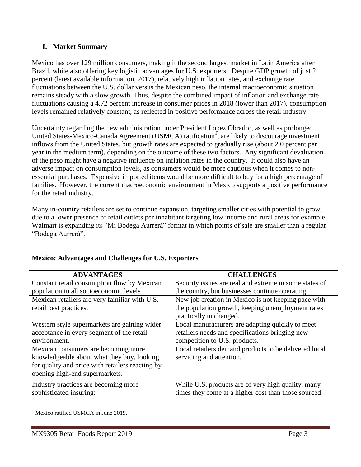# **I. Market Summary**

Mexico has over 129 million consumers, making it the second largest market in Latin America after Brazil, while also offering key logistic advantages for U.S. exporters. Despite GDP growth of just 2 percent (latest available information, 2017), relatively high inflation rates, and exchange rate fluctuations between the U.S. dollar versus the Mexican peso, the internal macroeconomic situation remains steady with a slow growth. Thus, despite the combined impact of inflation and exchange rate fluctuations causing a 4.72 percent increase in consumer prices in 2018 (lower than 2017), consumption levels remained relatively constant, as reflected in positive performance across the retail industry.

Uncertainty regarding the new administration under President Lopez Obrador, as well as prolonged United States-Mexico-Canada Agreement (USMCA) ratification<sup>1</sup>, are likely to discourage investment inflows from the United States, but growth rates are expected to gradually rise (about 2.0 percent per year in the medium term), depending on the outcome of these two factors. Any significant devaluation of the peso might have a negative influence on inflation rates in the country. It could also have an adverse impact on consumption levels, as consumers would be more cautious when it comes to nonessential purchases. Expensive imported items would be more difficult to buy for a high percentage of families. However, the current macroeconomic environment in Mexico supports a positive performance for the retail industry.

Many in-country retailers are set to continue expansion, targeting smaller cities with potential to grow, due to a lower presence of retail outlets per inhabitant targeting low income and rural areas for example Walmart is expanding its "Mi Bodega Aurrerá" format in which points of sale are smaller than a regular "Bodega Aurrerá".

| <b>ADVANTAGES</b>                                | <b>CHALLENGES</b>                                      |  |
|--------------------------------------------------|--------------------------------------------------------|--|
| Constant retail consumption flow by Mexican      | Security issues are real and extreme in some states of |  |
| population in all socioeconomic levels           | the country, but businesses continue operating.        |  |
| Mexican retailers are very familiar with U.S.    | New job creation in Mexico is not keeping pace with    |  |
| retail best practices.                           | the population growth, keeping unemployment rates      |  |
|                                                  | practically unchanged.                                 |  |
| Western style supermarkets are gaining wider     | Local manufacturers are adapting quickly to meet       |  |
| acceptance in every segment of the retail        | retailers needs and specifications bringing new        |  |
| environment.                                     | competition to U.S. products.                          |  |
| Mexican consumers are becoming more              | Local retailers demand products to be delivered local  |  |
| knowledgeable about what they buy, looking       | servicing and attention.                               |  |
| for quality and price with retailers reacting by |                                                        |  |
| opening high-end supermarkets.                   |                                                        |  |
| Industry practices are becoming more             | While U.S. products are of very high quality, many     |  |
| sophisticated insuring:                          | times they come at a higher cost than those sourced    |  |

# **Mexico: Advantages and Challenges for U.S. Exporters**

 $\overline{a}$ Mexico ratified USMCA in June 2019.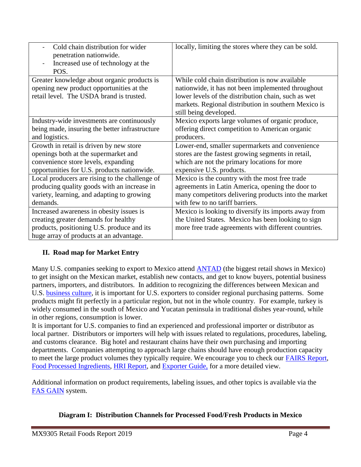| Cold chain distribution for wider<br>penetration nationwide.<br>Increased use of technology at the<br>POS.                                                                | locally, limiting the stores where they can be sold.                                                                                                                                                                                          |
|---------------------------------------------------------------------------------------------------------------------------------------------------------------------------|-----------------------------------------------------------------------------------------------------------------------------------------------------------------------------------------------------------------------------------------------|
| Greater knowledge about organic products is<br>opening new product opportunities at the<br>retail level. The USDA brand is trusted.                                       | While cold chain distribution is now available<br>nationwide, it has not been implemented throughout<br>lower levels of the distribution chain, such as wet<br>markets. Regional distribution in southern Mexico is<br>still being developed. |
| Industry-wide investments are continuously                                                                                                                                | Mexico exports large volumes of organic produce,                                                                                                                                                                                              |
| being made, insuring the better infrastructure                                                                                                                            | offering direct competition to American organic                                                                                                                                                                                               |
| and logistics.                                                                                                                                                            | producers.                                                                                                                                                                                                                                    |
| Growth in retail is driven by new store                                                                                                                                   | Lower-end, smaller supermarkets and convenience                                                                                                                                                                                               |
| openings both at the supermarket and                                                                                                                                      | stores are the fastest growing segments in retail,                                                                                                                                                                                            |
| convenience store levels, expanding                                                                                                                                       | which are not the primary locations for more                                                                                                                                                                                                  |
| opportunities for U.S. products nationwide.                                                                                                                               | expensive U.S. products.                                                                                                                                                                                                                      |
| Local producers are rising to the challenge of                                                                                                                            | Mexico is the country with the most free trade                                                                                                                                                                                                |
| producing quality goods with an increase in                                                                                                                               | agreements in Latin America, opening the door to                                                                                                                                                                                              |
| variety, learning, and adapting to growing                                                                                                                                | many competitors delivering products into the market                                                                                                                                                                                          |
| demands.                                                                                                                                                                  | with few to no tariff barriers.                                                                                                                                                                                                               |
| Increased awareness in obesity issues is<br>creating greater demands for healthy<br>products, positioning U.S. produce and its<br>huge array of products at an advantage. | Mexico is looking to diversify its imports away from<br>the United States. Mexico has been looking to sign<br>more free trade agreements with different countries.                                                                            |

# **II. Road map for Market Entry**

Many U.S. companies seeking to export to Mexico attend **ANTAD** (the biggest retail shows in Mexico) to get insight on the Mexican market, establish new contacts, and get to know buyers, potential business partners, importers, and distributors. In addition to recognizing the differences between Mexican and U.S. [business culture,](https://www.export.gov/article?id=Mexico-Business-Customs) it is important for U.S. exporters to consider regional purchasing patterns. Some products might fit perfectly in a particular region, but not in the whole country. For example, turkey is widely consumed in the south of Mexico and Yucatan peninsula in traditional dishes year-round, while in other regions, consumption is lower.

It is important for U.S. companies to find an experienced and professional importer or distributor as local partner. Distributors or importers will help with issues related to regulations, procedures, labeling, and customs clearance. Big hotel and restaurant chains have their own purchasing and importing departments. Companies attempting to approach large chains should have enough production capacity to meet the large product volumes they typically require. We encourage you to check our **FAIRS Report**, [Food Processed Ingredients,](https://www.fas.usda.gov/data/mexico-food-processing-ingredients-2) [HRI Report,](https://www.fas.usda.gov/data/mexico-food-service-hotel-restaurant-institutional-4) and [Exporter Guide,](https://www.fas.usda.gov/data/mexico-exporter-guide-0) for a more detailed view.

Additional information on product requirements, labeling issues, and other topics is available via the [FAS GAIN](https://gain.fas.usda.gov/) system.

# **Diagram I: Distribution Channels for Processed Food/Fresh Products in Mexico**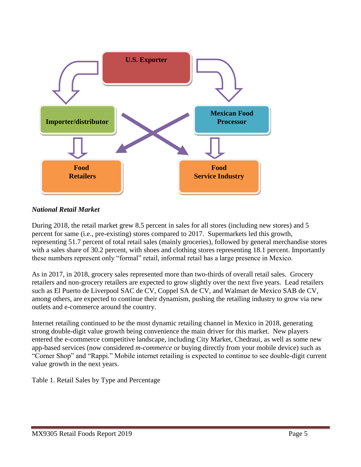

# *National Retail Market*

During 2018, the retail market grew 8.5 percent in sales for all stores (including new stores) and 5 percent for same (i.e., pre-existing) stores compared to 2017. Supermarkets led this growth, representing 51.7 percent of total retail sales (mainly groceries), followed by general merchandise stores with a sales share of 30.2 percent, with shoes and clothing stores representing 18.1 percent. Importantly these numbers represent only "formal" retail, informal retail has a large presence in Mexico.

As in 2017, in 2018, grocery sales represented more than two-thirds of overall retail sales. Grocery retailers and non-grocery retailers are expected to grow slightly over the next five years. Lead retailers such as El Puerto de Liverpool SAC de CV, Coppel SA de CV, and Walmart de Mexico SAB de CV, among others, are expected to continue their dynamism, pushing the retailing industry to grow via new outlets and e-commerce around the country.

Internet retailing continued to be the most dynamic retailing channel in Mexico in 2018, generating strong double-digit value growth being convenience the main driver for this market. New players entered the e-commerce competitive landscape, including City Market, Chedraui, as well as some new app-based services (now considered *m-commerce* or buying directly from your mobile device) such as "Corner Shop" and "Rappi." Mobile internet retailing is expected to continue to see double-digit current value growth in the next years.

Table 1. Retail Sales by Type and Percentage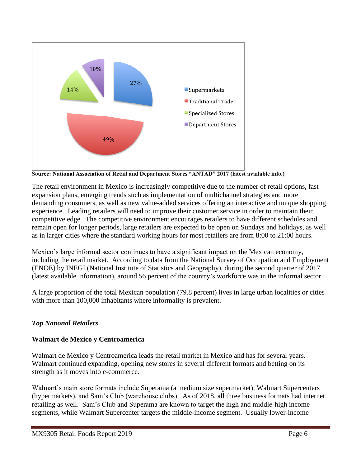

**Source: National Association of Retail and Department Stores "ANTAD" 2017 (latest available info.)**

The retail environment in Mexico is increasingly competitive due to the number of retail options, fast expansion plans, emerging trends such as implementation of multichannel strategies and more demanding consumers, as well as new value-added services offering an interactive and unique shopping experience. Leading retailers will need to improve their customer service in order to maintain their competitive edge. The competitive environment encourages retailers to have different schedules and remain open for longer periods, large retailers are expected to be open on Sundays and holidays, as well as in larger cities where the standard working hours for most retailers are from 8:00 to 21:00 hours.

Mexico's large informal sector continues to have a significant impact on the Mexican economy, including the retail market. According to data from the National Survey of Occupation and Employment (ENOE) by INEGI (National Institute of Statistics and Geography), during the second quarter of 2017 (latest available information), around 56 percent of the country's workforce was in the informal sector.

A large proportion of the total Mexican population (79.8 percent) lives in large urban localities or cities with more than 100,000 inhabitants where informality is prevalent.

# *Top National Retailers*

## **Walmart de Mexico y Centroamerica**

Walmart de Mexico y Centroamerica leads the retail market in Mexico and has for several years. Walmart continued expanding, opening new stores in several different formats and betting on its strength as it moves into e-commerce.

Walmart's main store formats include Superama (a medium size supermarket), Walmart Supercenters (hypermarkets), and Sam's Club (warehouse clubs). As of 2018, all three business formats had internet retailing as well. Sam's Club and Superama are known to target the high and middle-high income segments, while Walmart Supercenter targets the middle-income segment. Usually lower-income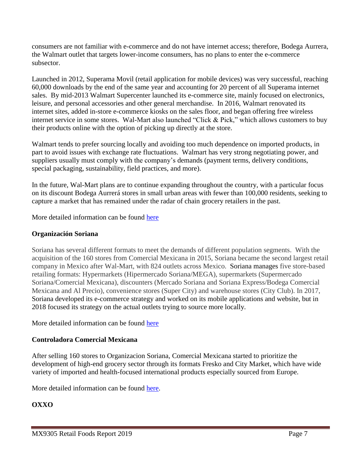consumers are not familiar with e-commerce and do not have internet access; therefore, Bodega Aurrera, the Walmart outlet that targets lower-income consumers, has no plans to enter the e-commerce subsector.

Launched in 2012, Superama Movil (retail application for mobile devices) was very successful, reaching 60,000 downloads by the end of the same year and accounting for 20 percent of all Superama internet sales. By mid-2013 Walmart Supercenter launched its e-commerce site, mainly focused on electronics, leisure, and personal accessories and other general merchandise. In 2016, Walmart renovated its internet sites, added in-store e-commerce kiosks on the sales floor, and began offering free wireless internet service in some stores. Wal-Mart also launched "Click & Pick," which allows customers to buy their products online with the option of picking up directly at the store.

Walmart tends to prefer sourcing locally and avoiding too much dependence on imported products, in part to avoid issues with exchange rate fluctuations. Walmart has very strong negotiating power, and suppliers usually must comply with the company's demands (payment terms, delivery conditions, special packaging, sustainability, field practices, and more).

In the future, Wal-Mart plans are to continue expanding throughout the country, with a particular focus on its discount Bodega Aurrerá stores in small urban areas with fewer than 100,000 residents, seeking to capture a market that has remained under the radar of chain grocery retailers in the past.

More detailed information can be found [here](https://www.walmex.mx/en/)

# **Organización Soriana**

Soriana has several different formats to meet the demands of different population segments. With the acquisition of the 160 stores from Comercial Mexicana in 2015, Soriana became the second largest retail company in Mexico after Wal-Mart, with 824 outlets across Mexico. Soriana manages five store-based retailing formats: Hypermarkets (Hipermercado Soriana/MEGA), supermarkets (Supermercado Soriana/Comercial Mexicana), discounters (Mercado Soriana and Soriana Express/Bodega Comercial Mexicana and Al Precio), convenience stores (Super City) and warehouse stores (City Club). In 2017, Soriana developed its e-commerce strategy and worked on its mobile applications and website, but in 2018 focused its strategy on the actual outlets trying to source more locally.

More detailed information can be found [here](http://www.organizacionsoriana.com/pdf/Infome%20Anual/2018/SORIANA_IA_2018%20%20(1).pdf)

# **Controladora Comercial Mexicana**

After selling 160 stores to Organizacion Soriana, Comercial Mexicana started to prioritize the development of high-end grocery sector through its formats Fresko and City Market, which have wide variety of imported and health-focused international products especially sourced from Europe.

More detailed information can be found [here.](http://lacomerfinanzas.com.mx/en/informacion-corporativa/resumen-ejecutivo/)

# **OXXO**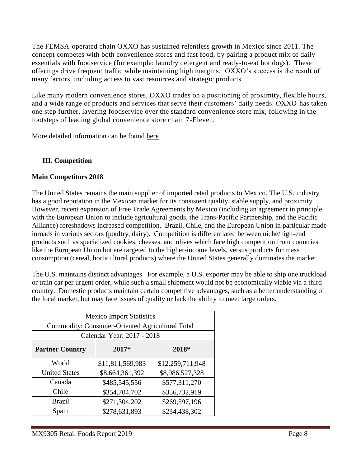The FEMSA-operated chain OXXO has sustained relentless growth in Mexico since 2011. The concept competes with both convenience stores and fast food, by pairing a product mix of daily essentials with foodservice (for example: laundry detergent and ready-to-eat hot dogs). These offerings drive frequent traffic while maintaining high margins. OXXO's success is the result of many factors, including access to vast resources and strategic products.

Like many modern convenience stores, OXXO trades on a positioning of proximity, flexible hours, and a wide range of products and services that serve their customers' daily needs. OXXO has taken one step further, layering foodservice over the standard convenience store mix, following in the footsteps of leading global convenience store chain 7-Eleven.

More detailed information can be found [here](https://femsa.gcs-web.com/company-profile/about-us)

# **III. Competition**

# **Main Competitors 2018**

The United States remains the main supplier of imported retail products to Mexico. The U.S. industry has a good reputation in the Mexican market for its consistent quality, stable supply, and proximity. However, recent expansion of Free Trade Agreements by Mexico (including an agreement in principle with the European Union to include agricultural goods, the Trans-Pacific Partnership, and the Pacific Alliance) foreshadows increased competition. Brazil, Chile, and the European Union in particular made inroads in various sectors (poultry, dairy). Competition is differentiated between niche/high-end products such as specialized cookies, cheeses, and olives which face high competition from countries like the European Union but are targeted to the higher-income levels, versus products for mass consumption (cereal, horticultural products) where the United States generally dominates the market.

The U.S. maintains distinct advantages. For example, a U.S. exporter may be able to ship one truckload or train car per urgent order, while such a small shipment would not be economically viable via a third country. Domestic products maintain certain competitive advantages, such as a better understanding of the local market, but may face issues of quality or lack the ability to meet large orders.

| <b>Mexico Import Statistics</b>                 |                  |                  |  |  |
|-------------------------------------------------|------------------|------------------|--|--|
| Commodity: Consumer-Oriented Agricultural Total |                  |                  |  |  |
| Calendar Year: 2017 - 2018                      |                  |                  |  |  |
| <b>Partner Country</b>                          | 2017*            | 2018*            |  |  |
| World                                           | \$11,811,569,983 | \$12,259,711,948 |  |  |
| <b>United States</b>                            | \$8,664,361,392  | \$8,986,527,328  |  |  |
| Canada                                          | \$485,545,556    | \$577,311,270    |  |  |
| Chile                                           | \$354,704,702    | \$356,732,919    |  |  |
| <b>Brazil</b>                                   | \$271,304,202    | \$269,597,196    |  |  |
| Spain                                           | \$278,631,893    | \$234,438,302    |  |  |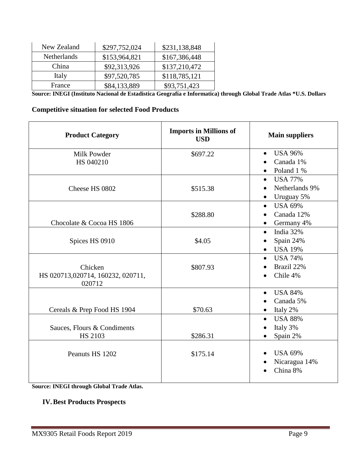| New Zealand | \$297,752,024 | \$231,138,848 |
|-------------|---------------|---------------|
| Netherlands | \$153,964,821 | \$167,386,448 |
| China       | \$92,313,926  | \$137,210,472 |
| Italy       | \$97,520,785  | \$118,785,121 |
| France      | \$84,133,889  | \$93,751,423  |

**Source: INEGI (Instituto Nacional de Estadistica Geografía e Informatica) through Global Trade Atlas \*U.S. Dollars**

## **Competitive situation for selected Food Products**

| <b>Product Category</b>                     | <b>Imports in Millions of</b><br><b>USD</b> | <b>Main suppliers</b>                                    |
|---------------------------------------------|---------------------------------------------|----------------------------------------------------------|
| Milk Powder                                 | \$697.22                                    | <b>USA 96%</b><br>$\bullet$                              |
| HS 040210                                   |                                             | Canada 1%                                                |
|                                             |                                             | Poland 1 %<br>$\bullet$                                  |
|                                             |                                             | <b>USA 77%</b><br>$\bullet$                              |
| Cheese HS 0802                              | \$515.38                                    | Netherlands 9%                                           |
|                                             |                                             | Uruguay 5%<br>$\bullet$                                  |
|                                             |                                             | <b>USA 69%</b><br>$\bullet$                              |
|                                             | \$288.80                                    | Canada 12%<br>$\bullet$                                  |
| Chocolate & Cocoa HS 1806                   |                                             | Germany 4%<br>$\bullet$                                  |
|                                             |                                             | India 32%<br>$\bullet$                                   |
| Spices HS 0910                              | \$4.05                                      | Spain 24%                                                |
|                                             |                                             | <b>USA 19%</b><br>$\bullet$                              |
|                                             |                                             | <b>USA 74%</b><br>$\bullet$                              |
| Chicken                                     | \$807.93                                    | Brazil 22%                                               |
| HS 020713,020714, 160232, 020711,<br>020712 |                                             | Chile 4%                                                 |
|                                             |                                             | <b>USA 84%</b><br>$\bullet$                              |
|                                             |                                             | Canada 5%                                                |
| Cereals & Prep Food HS 1904                 | \$70.63                                     | Italy 2%<br>$\bullet$                                    |
|                                             |                                             | <b>USA 88%</b><br>$\bullet$                              |
| Sauces, Flours & Condiments                 |                                             | Italy 3%                                                 |
| <b>HS 2103</b>                              | \$286.31                                    | Spain 2%                                                 |
| Peanuts HS 1202                             | \$175.14                                    | <b>USA 69%</b><br>$\bullet$<br>Nicaragua 14%<br>China 8% |

**Source: INEGI through Global Trade Atlas.**

### **IV.Best Products Prospects**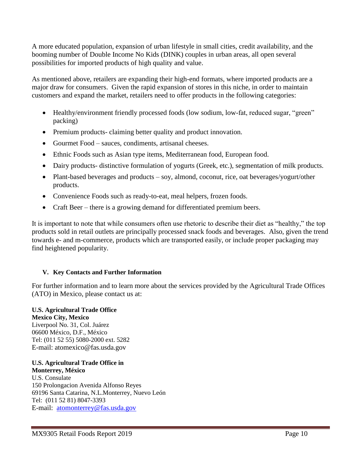A more educated population, expansion of urban lifestyle in small cities, credit availability, and the booming number of Double Income No Kids (DINK) couples in urban areas, all open several possibilities for imported products of high quality and value.

As mentioned above, retailers are expanding their high-end formats, where imported products are a major draw for consumers. Given the rapid expansion of stores in this niche, in order to maintain customers and expand the market, retailers need to offer products in the following categories:

- Healthy/environment friendly processed foods (low sodium, low-fat, reduced sugar, "green" packing)
- Premium products- claiming better quality and product innovation.
- Gourmet Food sauces, condiments, artisanal cheeses.
- Ethnic Foods such as Asian type items, Mediterranean food, European food.
- Dairy products- distinctive formulation of yogurts (Greek, etc.), segmentation of milk products.
- Plant-based beverages and products soy, almond, coconut, rice, oat beverages/yogurt/other products.
- Convenience Foods such as ready-to-eat, meal helpers, frozen foods.
- Craft Beer there is a growing demand for differentiated premium beers.

It is important to note that while consumers often use rhetoric to describe their diet as "healthy," the top products sold in retail outlets are principally processed snack foods and beverages. Also, given the trend towards e- and m-commerce, products which are transported easily, or include proper packaging may find heightened popularity.

## **V. Key Contacts and Further Information**

For further information and to learn more about the services provided by the Agricultural Trade Offices (ATO) in Mexico, please contact us at:

## **U.S. Agricultural Trade Office**

**Mexico City, Mexico**  Liverpool No. 31, Col. Juárez 06600 México, D.F., México Tel: (011 52 55) 5080-2000 ext. 5282 E-mail: atomexico@fas.usda.gov

### **U.S. Agricultural Trade Office in Monterrey, México**

U.S. Consulate 150 Prolongacion Avenida Alfonso Reyes 69196 Santa Catarina, N.L.Monterrey, Nuevo León Tel: (011 52 81) 8047-3393 E-mail: [atomonterrey@fas.usda.gov](mailto:atomonterrey@fas.usda.gov)